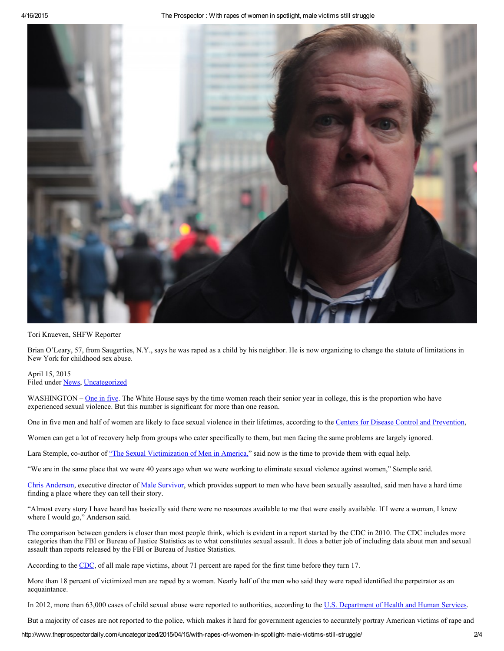4/16/2015 The Prospector : With rapes of women in spotlight, male victims still struggle



Tori Knueven, SHFW Reporter

Brian O'Leary, 57, from Saugerties, N.Y., says he was raped as a child by his neighbor. He is now organizing to change the statute of limitations in New York for childhood sex abuse.

April 15, 2015 Filed under [News,](http://www.theprospectordaily.com/category/news/) [Uncategorized](http://www.theprospectordaily.com/category/uncategorized/)

WASHINGTON – [One](https://www.scribd.com/fullscreen/221274612?access_key=key-iwto2s9s4g0t4kivi1e&allow_share=true&escape=false&view_mode=scroll) in five. The White House says by the time women reach their senior year in college, this is the proportion who have experienced sexual violence. But this number is significant for more than one reason.

One in five men and half of women are likely to face sexual violence in their lifetimes, according to the Centers for Disease Control and [Prevention,](http://www.cdc.gov/violenceprevention/nisvs/infographic.html)

Women can get a lot of recovery help from groups who cater specifically to them, but men facing the same problems are largely ignored.

Lara Stemple, co-author of "The Sexual [Victimization](http://williamsinstitute.law.ucla.edu/research/violence-crime/the-sexual-victimization-of-men-in-america-new-data-challenge-old-assumptions/) of Men in America," said now is the time to provide them with equal help.

"We are in the same place that we were 40 years ago when we were working to eliminate sexual violence against women," Stemple said.

Chris [Anderson](https://www.malesurvivor.org/board-of-directors.html), executive director of Male [Survivor,](http://www.malesurvivor.org/) which provides support to men who have been sexually assaulted, said men have a hard time finding a place where they can tell their story.

"Almost every story I have heard has basically said there were no resources available to me that were easily available. If I were a woman, I knew where I would go," Anderson said.

The comparison between genders is closer than most people think, which is evident in a report started by the CDC in 2010. The CDC includes more categories than the FBI or Bureau of Justice Statistics as to what constitutes sexual assault. It does a better job of including data about men and sexual assault than reports released by the FBI or Bureau of Justice Statistics.

According to the [CDC,](https://www.ncjrs.gov/pdffiles1/nij/210346.pdf) of all male rape victims, about 71 percent are raped for the first time before they turn 17.

More than 18 percent of victimized men are raped by a woman. Nearly half of the men who said they were raped identified the perpetrator as an acquaintance.

In 2012, more than 63,000 cases of child sexual abuse were reported to authorities, according to the U.S. [Department](http://www.hhs.gov/asl/testify/2011/12/t20111213a.html) of Health and Human Services.

But a majority of cases are not reported to the police, which makes it hard for government agencies to accurately portray American victims of rape and

http://www.theprospectordaily.com/uncategorized/2015/04/15/with-rapes-of-women-in-spotlight-male-victims-still-struggle/ 2/4